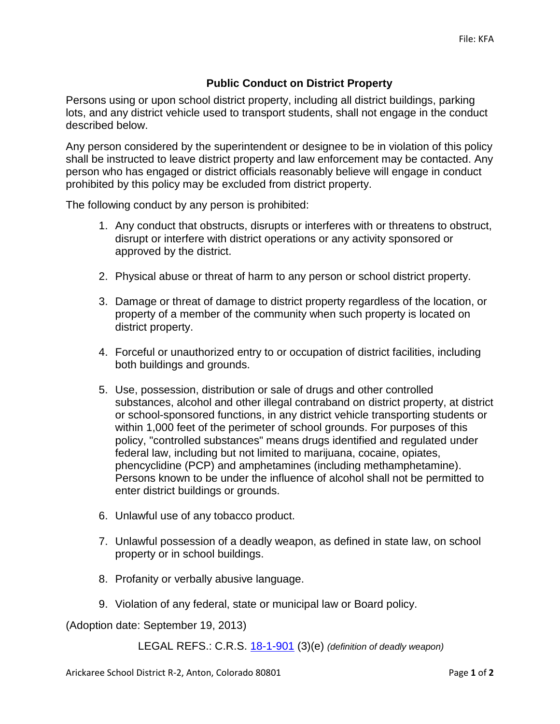## **Public Conduct on District Property**

Persons using or upon school district property, including all district buildings, parking lots, and any district vehicle used to transport students, shall not engage in the conduct described below.

Any person considered by the superintendent or designee to be in violation of this policy shall be instructed to leave district property and law enforcement may be contacted. Any person who has engaged or district officials reasonably believe will engage in conduct prohibited by this policy may be excluded from district property.

The following conduct by any person is prohibited:

- 1. Any conduct that obstructs, disrupts or interferes with or threatens to obstruct, disrupt or interfere with district operations or any activity sponsored or approved by the district.
- 2. Physical abuse or threat of harm to any person or school district property.
- 3. Damage or threat of damage to district property regardless of the location, or property of a member of the community when such property is located on district property.
- 4. Forceful or unauthorized entry to or occupation of district facilities, including both buildings and grounds.
- 5. Use, possession, distribution or sale of drugs and other controlled substances, alcohol and other illegal contraband on district property, at district or school-sponsored functions, in any district vehicle transporting students or within 1,000 feet of the perimeter of school grounds. For purposes of this policy, "controlled substances" means drugs identified and regulated under federal law, including but not limited to marijuana, cocaine, opiates, phencyclidine (PCP) and amphetamines (including methamphetamine). Persons known to be under the influence of alcohol shall not be permitted to enter district buildings or grounds.
- 6. Unlawful use of any tobacco product.
- 7. Unlawful possession of a deadly weapon, as defined in state law, on school property or in school buildings.
- 8. Profanity or verbally abusive language.
- 9. Violation of any federal, state or municipal law or Board policy.

(Adoption date: September 19, 2013)

LEGAL REFS.: C.R.S. [18-1-901](http://www.lpdirect.net/casb/crs/18-1-901.html) (3)(e) *(definition of deadly weapon)*